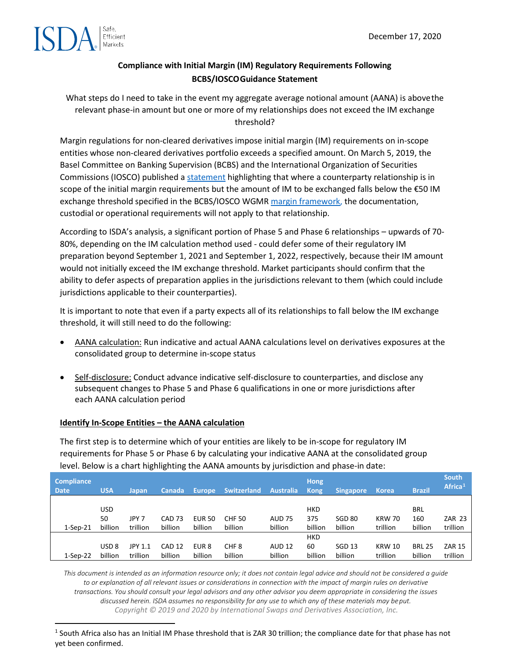

## **Compliance with Initial Margin (IM) Regulatory Requirements Following BCBS/IOSCOGuidance Statement**

What steps do I need to take in the event my aggregate average notional amount (AANA) is abovethe relevant phase-in amount but one or more of my relationships does not exceed the IM exchange threshold?

Margin regulations for non-cleared derivatives impose initial margin (IM) requirements on in-scope entities whose non-cleared derivatives portfolio exceeds a specified amount. On March 5, 2019, the Basel Committee on Banking Supervision (BCBS) and the International Organization of Securities Commissions (IOSCO) published [a statement](https://www.bis.org/press/p190305a.htm) highlighting that where a counterparty relationship is in scope of the initial margin requirements but the amount of IM to be exchanged falls below the €50 IM exchange threshold specified in the BCBS/IOSCO WGMR [margin framework, t](https://www.bis.org/bcbs/publ/d317.pdf)he documentation, custodial or operational requirements will not apply to that relationship.

According to ISDA's analysis, a significant portion of Phase 5 and Phase 6 relationships – upwards of 70- 80%, depending on the IM calculation method used - could defer some of their regulatory IM preparation beyond September 1, 2021 and September 1, 2022, respectively, because their IM amount would not initially exceed the IM exchange threshold. Market participants should confirm that the ability to defer aspects of preparation applies in the jurisdictions relevant to them (which could include jurisdictions applicable to their counterparties).

It is important to note that even if a party expects all of its relationships to fall below the IM exchange threshold, it will still need to do the following:

- AANA calculation: Run indicative and actual AANA calculations level on derivatives exposures at the consolidated group to determine in-scope status
- Self-disclosure: Conduct advance indicative self-disclosure to counterparties, and disclose any subsequent changes to Phase 5 and Phase 6 qualifications in one or more jurisdictions after each AANA calculation period

#### **Identify In-Scope Entities – the AANA calculation**

The first step is to determine which of your entities are likely to be in-scope for regulatory IM requirements for Phase 5 or Phase 6 by calculating your indicative AANA at the consolidated group level. Below is a chart highlighting the AANA amounts by jurisdiction and phase-in date:

| <b>Compliance</b><br><b>Date</b> | <b>USA</b>       | Japan    | 'Canada           | Europe,          | <b>Switzerland</b> | Australia     | <b>Hong</b><br><b>Kong</b> | Singapore         | <b>Korea</b>  | <b>Brazil</b> | <b>South</b><br>Africa <sup>1</sup> |
|----------------------------------|------------------|----------|-------------------|------------------|--------------------|---------------|----------------------------|-------------------|---------------|---------------|-------------------------------------|
|                                  |                  |          |                   |                  |                    |               |                            |                   |               |               |                                     |
|                                  | <b>USD</b>       |          |                   |                  |                    |               | <b>HKD</b>                 |                   |               | BRL           |                                     |
|                                  | 50               | JPY 7    | <b>CAD 73</b>     | <b>EUR 50</b>    | <b>CHF 50</b>      | <b>AUD 75</b> | 375                        | SGD 80            | <b>KRW 70</b> | 160           | <b>ZAR 23</b>                       |
| $1-Sep-21$                       | billion          | trillion | billion           | billion          | billion            | billion       | billion                    | billion           | trillion      | billion       | trillion                            |
|                                  |                  |          |                   |                  |                    |               | <b>HKD</b>                 |                   |               |               |                                     |
|                                  | USD <sub>8</sub> | JPY 1.1  | CAD <sub>12</sub> | EUR <sub>8</sub> | CHF <sub>8</sub>   | <b>AUD 12</b> | 60                         | SGD <sub>13</sub> | <b>KRW 10</b> | <b>BRL 25</b> | <b>ZAR 15</b>                       |
| $1-Sep-22$                       | billion          | trillion | billion           | billion          | billion            | billion       | billion                    | billion           | trillion      | billion       | trillion                            |

*This document is intended as an information resource only; it does not contain legal advice and should not be considered a guide to or explanation of all relevant issues or considerations in connection with the impact of margin rules on derivative transactions. You should consult your legal advisors and any other advisor you deem appropriate in considering the issues discussed herein. ISDA assumes no responsibility for any use to which any of these materials may beput. Copyright © 2019 and 2020 by International Swaps and Derivatives Association, Inc.*

<span id="page-0-0"></span> $1$  South Africa also has an Initial IM Phase threshold that is ZAR 30 trillion; the compliance date for that phase has not yet been confirmed.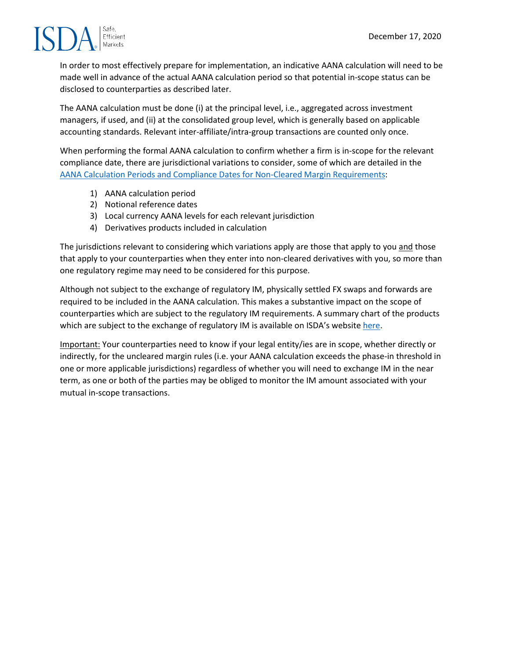

In order to most effectively prepare for implementation, an indicative AANA calculation will need to be made well in advance of the actual AANA calculation period so that potential in-scope status can be disclosed to counterparties as described later.

The AANA calculation must be done (i) at the principal level, i.e., aggregated across investment managers, if used, and (ii) at the consolidated group level, which is generally based on applicable accounting standards. Relevant inter-affiliate/intra-group transactions are counted only once.

When performing the formal AANA calculation to confirm whether a firm is in-scope for the relevant compliance date, there are jurisdictional variations to consider, some of which are detailed in the [AANA Calculation Periods and Compliance Dates for Non-Cleared Margin Requirements:](http://assets.isda.org/media/5e7ce0f1/4f4fc9ed-pdf/)

- 1) AANA calculation period
- 2) Notional reference dates
- 3) Local currency AANA levels for each relevant jurisdiction
- 4) Derivatives products included in calculation

The jurisdictions relevant to considering which variations apply are those that apply to you and those that apply to your counterparties when they enter into non-cleared derivatives with you, so more than one regulatory regime may need to be considered for this purpose.

Although not subject to the exchange of regulatory IM, physically settled FX swaps and forwards are required to be included in the AANA calculation. This makes a substantive impact on the scope of counterparties which are subject to the regulatory IM requirements. A summary chart of the products which are subject to the exchange of regulatory IM is available on ISDA's website [here.](https://www.isda.org/a/IGMME/ISDA-In-Scope-Products-Chart_UnclearedMargin_08January2019.pdf)

Important: Your counterparties need to know if your legal entity/ies are in scope, whether directly or indirectly, for the uncleared margin rules (i.e. your AANA calculation exceeds the phase-in threshold in one or more applicable jurisdictions) regardless of whether you will need to exchange IM in the near term, as one or both of the parties may be obliged to monitor the IM amount associated with your mutual in-scope transactions.